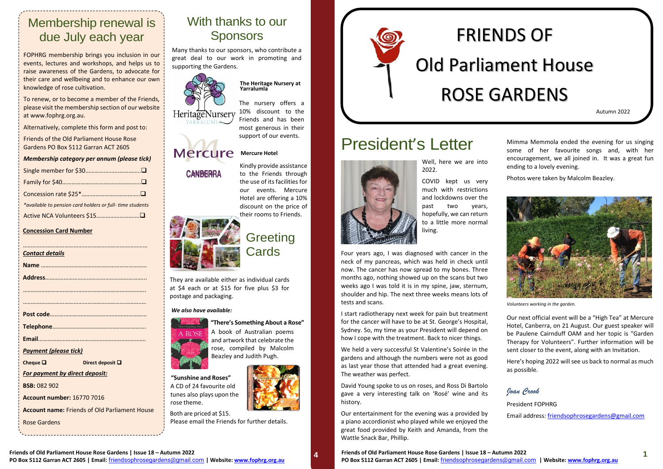#### **Mercure Mercure Hotel**

**CANBERRA** 

# With thanks to our Sponsors

Many thanks to our sponsors, who contribute a great deal to our work in promoting and supporting the Gardens.



### **The Heritage Nursery at Yarralumla**

The nursery offers a 10% discount to the **HeritageNursery** Friends and has been most generous in their support of our events.

> Kindly provide assistance to the Friends through the use of its facilities for our events. Mercure Hotel are offering a 10% discount on the price of



# **Greeting Cards**

They are available either as individual cards at \$4 each or at \$15 for five plus \$3 for postage and packaging.

> **"There's Something About a Rose"** A book of Australian poems and artwork that celebrate the rose, compiled by Malcolm Beazley and Judith Pugh.

**"Sunshine and Roses"** A CD of 24 favourite old tunes also plays upon the rose theme.

Both are priced at \$15. Please email the Friends for further details.



### *We also have available:*



# President's Letter

Well, here we are into 2022.

COVID kept us very much with restrictions and lockdowns over the past two years, hopefully, we can return to a little more normal living.

Four years ago, I was diagnosed with cancer in the neck of my pancreas, which was held in check until now. The cancer has now spread to my bones. Three months ago, nothing showed up on the scans but two weeks ago I was told it is in my spine, jaw, sternum, shoulder and hip. The next three weeks means lots of tests and scans.

I start radiotherapy next week for pain but treatment for the cancer will have to be at St. George's Hospital, Sydney. So, my time as your President will depend on how I cope with the treatment. Back to nicer things.

We held a very successful St Valentine's Soirée in the gardens and although the numbers were not as good as last year those that attended had a great evening. The weather was perfect.

David Young spoke to us on roses, and Ross Di Bartolo gave a very interesting talk on 'Rosé' wine and its history.

Our entertainment for the evening was a provided by a piano accordionist who played while we enjoyed the great food provided by Keith and Amanda, from the Wattle Snack Bar, Phillip.

**Friends of Old Parliament House Rose Gardens | Issue 18 – Autumn 2022 Friends of Old Parliament House Rose Gardens | Issue 18 – Autumn 2022 4 1** PO Box 5112 Garran ACT 2605 | Email: [friendsophrosegardens@gmail.com](mailto:friendsophrosegardens@gmail.com) | Website[: www.fophrg.org.au](http://www.fophrg.org.au/) PO Box 5112 Garran ACT 2605 | Email: friendsophrosegardens@gmail.com | Website: [www.fophrg.org.au](http://www.fophrg.org.au/)

Mimma Memmola ended the evening for us singing some of her favourite songs and, with her encouragement, we all joined in. It was a great fun ending to a lovely evening.

Photos were taken by Malcolm Beazley.



*Volunteers working in the garden.*

Our next official event will be a "High Tea" at Mercure Hotel, Canberra, on 21 August. Our guest speaker will be Paulene Cairnduff OAM and her topic is "Garden Therapy for Volunteers". Further information will be sent closer to the event, along with an Invitation.

Here's hoping 2022 will see us back to normal as much as possible.

*Joan Crook*

President FOPHRG Email address: [friendsophrosegardens@gmail.com](mailto:friendsophrosegardens@gmail.com)

# FRIENDS OF Old Parliament House ROSE GARDENS

# Membership renewal is due July each year

FOPHRG membership brings you inclusion in our events, lectures and workshops, and helps us to raise awareness of the Gardens, to advocate for their care and wellbeing and to enhance our own knowledge of rose cultivation.

To renew, or to become a member of the Friends, please visit the membership section of our website at [www.fophrg.org.au.](http://www.fophrg.org.au/) 

Alternatively, complete this form and post to:

Friends of the Old Parliament House Rose Gardens PO Box 5112 Garran ACT 2605

*Membership category per annum (please tick)*

| *available to pension card holders or full-time students |
|----------------------------------------------------------|
|                                                          |

## **Concession Card Number**

| <b>Contact details</b>                               |                       |  |
|------------------------------------------------------|-----------------------|--|
|                                                      |                       |  |
|                                                      |                       |  |
|                                                      |                       |  |
|                                                      |                       |  |
|                                                      |                       |  |
|                                                      |                       |  |
|                                                      |                       |  |
|                                                      |                       |  |
|                                                      |                       |  |
| <b>Payment (please tick)</b>                         |                       |  |
| Cheque $\square$                                     | Direct deposit $\Box$ |  |
| For payment by direct deposit:                       |                       |  |
| <b>BSB: 082 902</b>                                  |                       |  |
| <b>Account number: 16770 7016</b>                    |                       |  |
| <b>Account name: Friends of Old Parliament House</b> |                       |  |
| Rose Gardens                                         |                       |  |
|                                                      |                       |  |

Autumn 2022